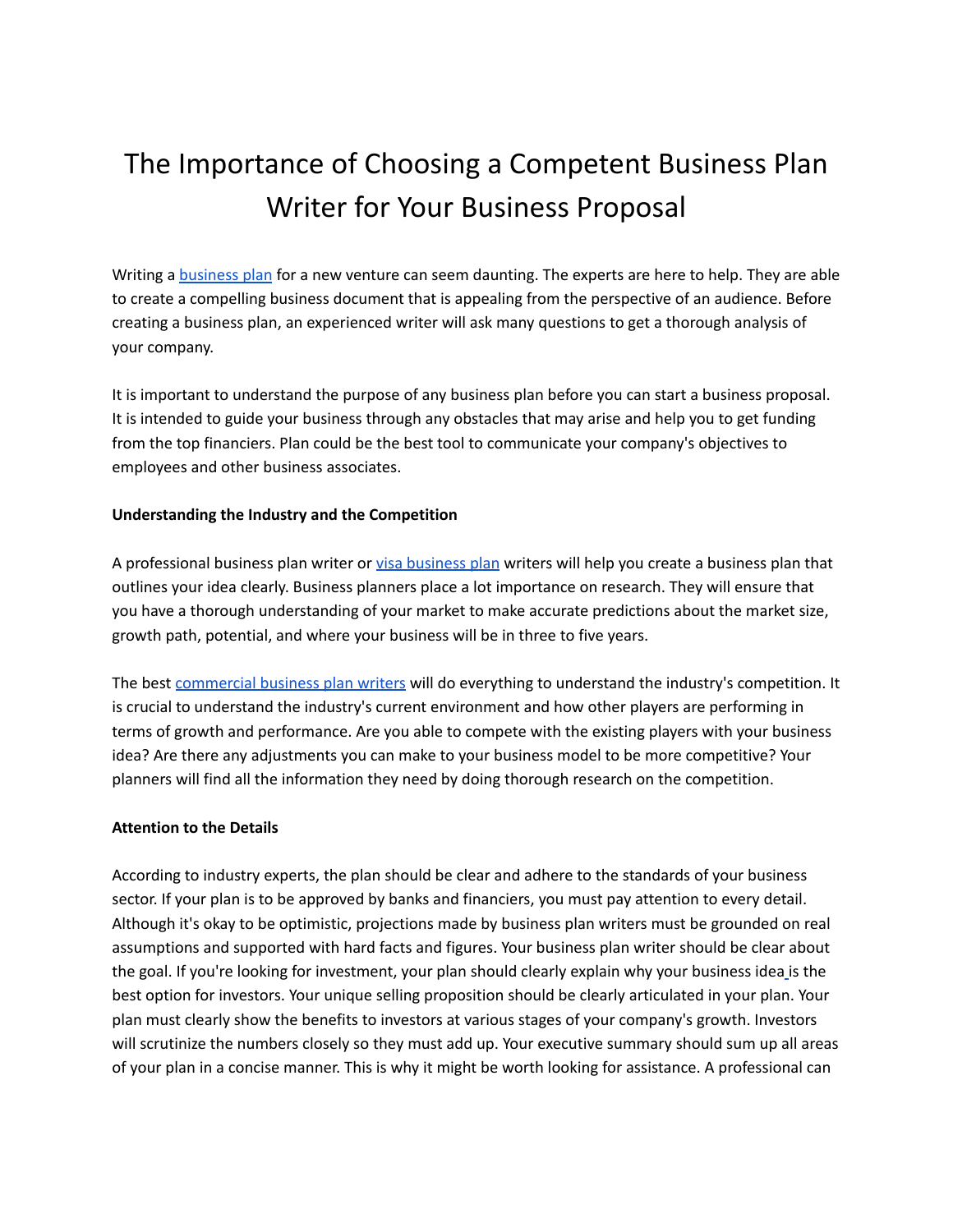# The Importance of Choosing a Competent Business Plan Writer for Your Business Proposal

Writing a [business](https://www.maplecontent.com/immigration-business-plan) plan for a new venture can seem daunting. The experts are here to help. They are able to create a compelling business document that is appealing from the perspective of an audience. Before creating a business plan, an experienced writer will ask many questions to get a thorough analysis of your company.

It is important to understand the purpose of any business plan before you can start a business proposal. It is intended to guide your business through any obstacles that may arise and help you to get funding from the top financiers. Plan could be the best tool to communicate your company's objectives to employees and other business associates.

### **Understanding the Industry and the Competition**

A professional [business](https://www.maplecontent.com/visa-business-plan) plan writer or visa business plan writers will help you create a business plan that outlines your idea clearly. Business planners place a lot importance on research. They will ensure that you have a thorough understanding of your market to make accurate predictions about the market size, growth path, potential, and where your business will be in three to five years.

The best [commercial](https://www.maplecontent.com/commercial-business-plan) business plan writers will do everything to understand the industry's competition. It is crucial to understand the industry's current environment and how other players are performing in terms of growth and performance. Are you able to compete with the existing players with your business idea? Are there any adjustments you can make to your business model to be more competitive? Your planners will find all the information they need by doing thorough research on the competition.

### **Attention to the Details**

According to industry experts, the plan should be clear and adhere to the standards of your business sector. If your plan is to be approved by banks and financiers, you must pay attention to every detail. Although it's okay to be optimistic, projections made by business plan writers must be grounded on real assumptions and supported with hard facts and figures. Your business plan writer should be clear about the goal. If you're looking for investment, your plan should clearly explain why your business ide[a](https://maplecontent.com/service/p/l1-visa-business-plan) is the best option for investors. Your unique selling proposition should be clearly articulated in your plan. Your plan must clearly show the benefits to investors at various stages of your company's growth. Investors will scrutinize the numbers closely so they must add up. Your executive summary should sum up all areas of your plan in a concise manner. This is why it might be worth looking for assistance. A professional can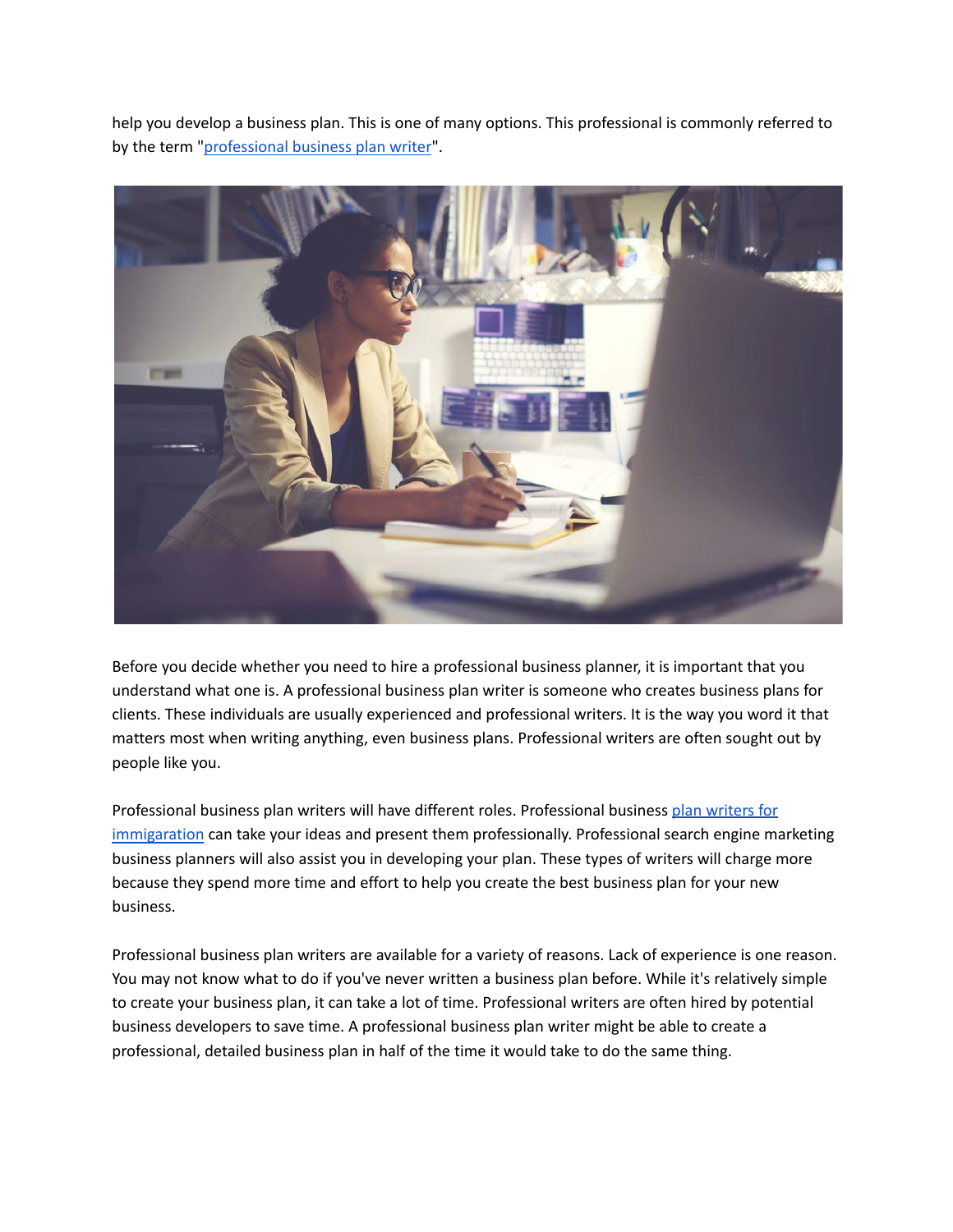help you develop a business plan. This is one of many options. This professional is commonly referred to by the term ["professional](https://www.maplecontent.com/commercial-business-plans) business plan writer".



Before you decide whether you need to hire a professional business planner, it is important that you understand what one is. A professional business plan writer is someone who creates business plans for clients. These individuals are usually experienced and professional writers. It is the way you word it that matters most when writing anything, even business plans. Professional writers are often sought out by people like you.

Professional business plan writers will have different roles. Professional business plan [writers](https://www.maplecontent.com/immigration) for [immigaration](https://www.maplecontent.com/immigration) can take your ideas and present them professionally. Professional search engine marketing business planners will also assist you in developing your plan. These types of writers will charge more because they spend more time and effort to help you create the best business plan for your new business.

Professional business plan writers are available for a variety of reasons. Lack of experience is one reason. You may not know what to do if you've never written a business plan before. While it's relatively simple to create your business plan, it can take a lot of time. Professional writers are often hired by potential business developers to save time. A professional business plan writer might be able to create a professional, detailed business plan in half of the time it would take to do the same thing.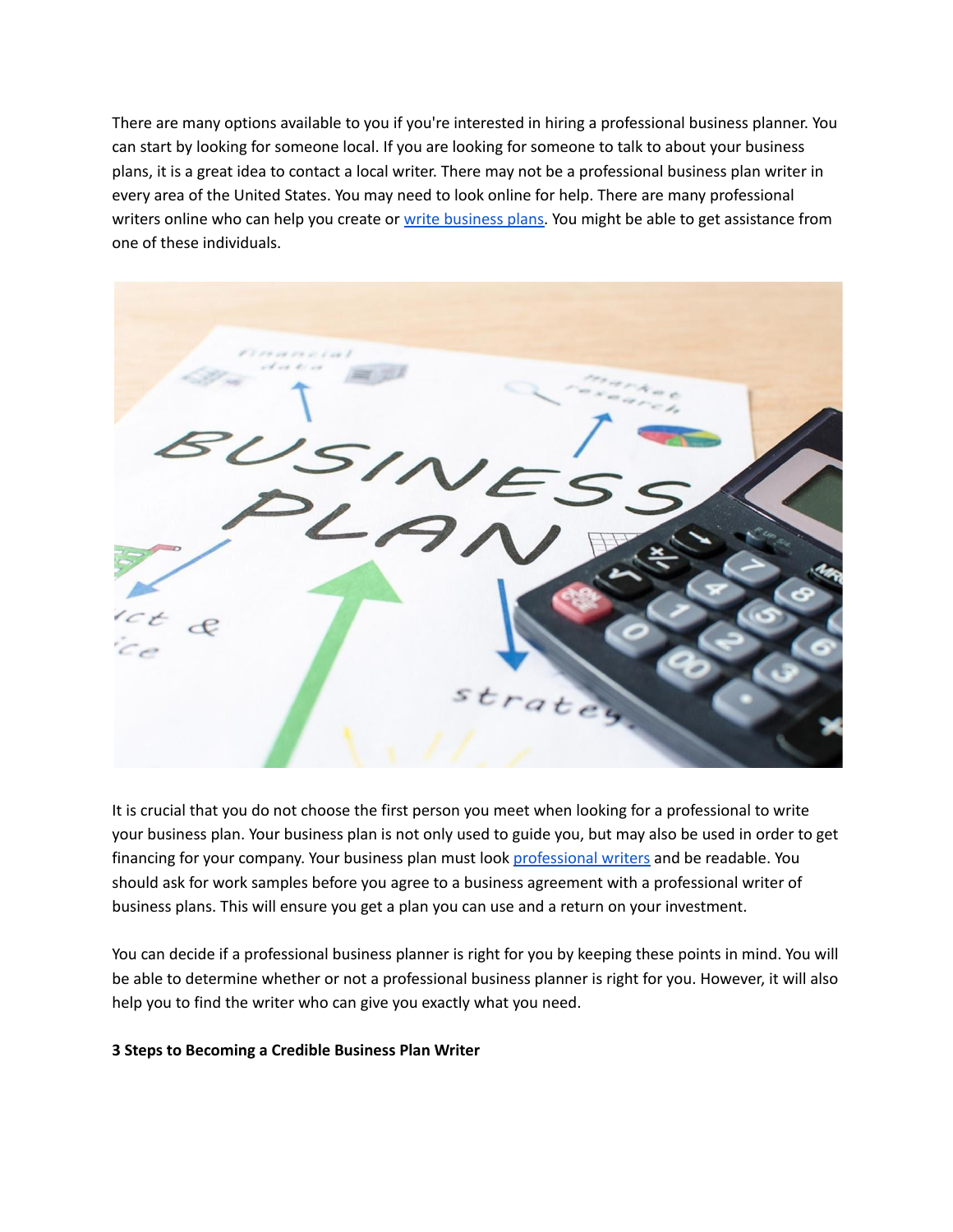There are many options available to you if you're interested in hiring a professional business planner. You can start by looking for someone local. If you are looking for someone to talk to about your business plans, it is a great idea to contact a local writer. There may not be a professional business plan writer in every area of the United States. You may need to look online for help. There are many professional writers online who can help you create or write [business](https://maplecontent.com/commercial-business-plan) plans. You might be able to get assistance from one of these individuals.



It is crucial that you do not choose the first person you meet when looking for a professional to write your business plan. Your business plan is not only used to guide you, but may also be used in order to get financing for your company. Your business plan must look [professional](https://maplecontent.com/immigration-business-plan) writers and be readable. You should ask for work samples before you agree to a business agreement with a professional writer of business plans. This will ensure you get a plan you can use and a return on your investment.

You can decide if a professional business planner is right for you by keeping these points in mind. You will be able to determine whether or not a professional business planner is right for you. However, it will also help you to find the writer who can give you exactly what you need.

#### **3 Steps to Becoming a Credible Business Plan Writer**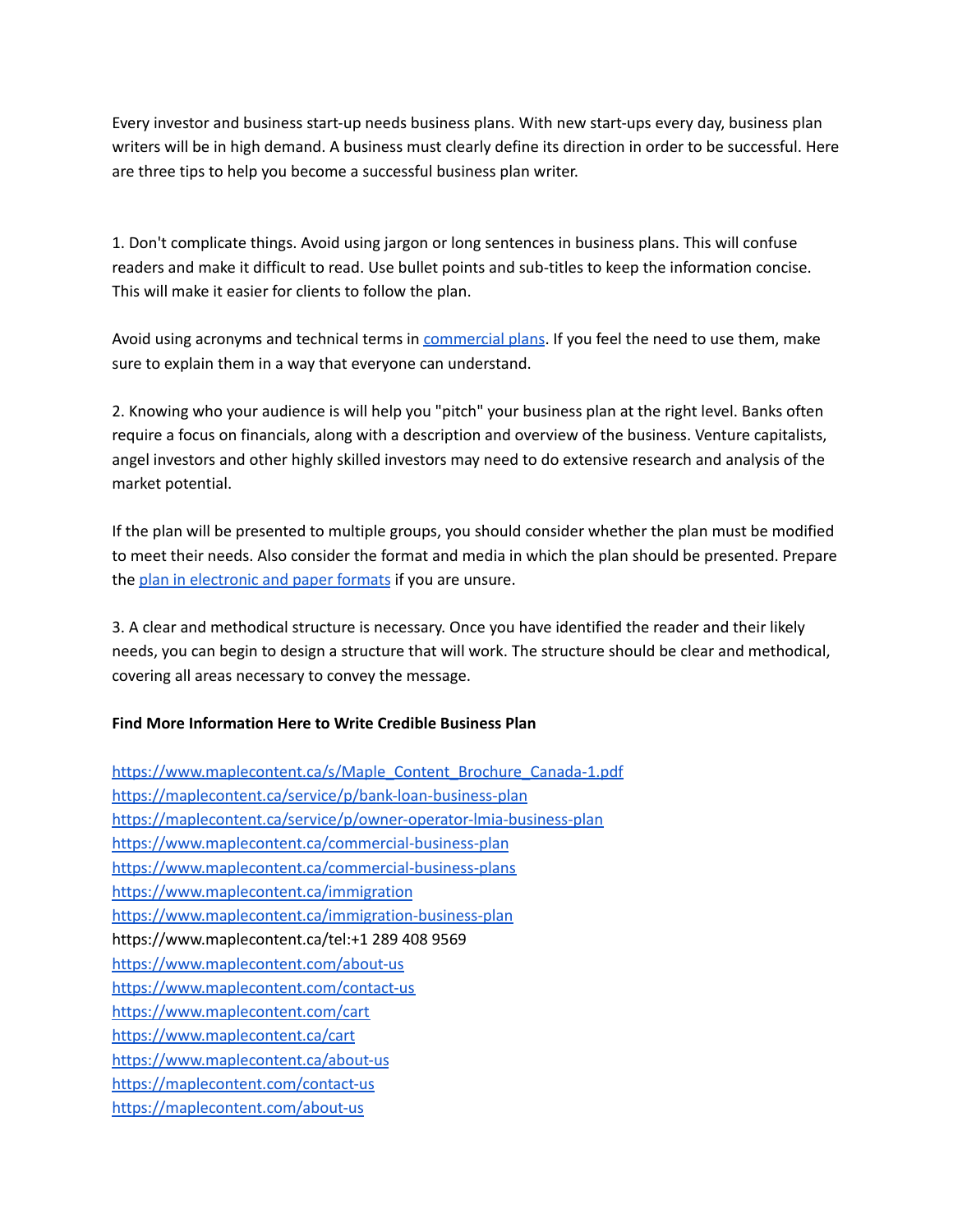Every investor and business start-up needs business plans. With new start-ups every day, business plan writers will be in high demand. A business must clearly define its direction in order to be successful. Here are three tips to help you become a successful business plan writer.

1. Don't complicate things. Avoid using jargon or long sentences in business plans. This will confuse readers and make it difficult to read. Use bullet points and sub-titles to keep the information concise. This will make it easier for clients to follow the plan.

Avoid using acronyms and technical terms in **[commercial](https://www.maplecontent.ca/commercial-business-plan) plans.** If you feel the need to use them, make sure to explain them in a way that everyone can understand.

2. Knowing who your audience is will help you "pitch" your business plan at the right level. Banks often require a focus on financials, along with a description and overview of the business. Venture capitalists, angel investors and other highly skilled investors may need to do extensive research and analysis of the market potential.

If the plan will be presented to multiple groups, you should consider whether the plan must be modified to meet their needs. Also consider the format and media in which the plan should be presented. Prepare the plan in [electronic](https://maplecontent.ca/service/p/start-up-visa-business-plan) and paper formats if you are unsure.

3. A clear and methodical structure is necessary. Once you have identified the reader and their likely needs, you can begin to design a structure that will work. The structure should be clear and methodical, covering all areas necessary to convey the message.

## **Find More Information Here to Write Credible Business Plan**

[https://www.maplecontent.ca/s/Maple\\_Content\\_Brochure\\_Canada-1.pdf](https://www.maplecontent.ca/s/Maple_Content_Brochure_Canada-1.pdf) <https://maplecontent.ca/service/p/bank-loan-business-plan> <https://maplecontent.ca/service/p/owner-operator-lmia-business-plan> <https://www.maplecontent.ca/commercial-business-plan> <https://www.maplecontent.ca/commercial-business-plans> <https://www.maplecontent.ca/immigration> <https://www.maplecontent.ca/immigration-business-plan> https://www.maplecontent.ca/tel:+1 289 408 9569 <https://www.maplecontent.com/about-us> <https://www.maplecontent.com/contact-us> <https://www.maplecontent.com/cart> <https://www.maplecontent.ca/cart> <https://www.maplecontent.ca/about-us> <https://maplecontent.com/contact-us> <https://maplecontent.com/about-us>